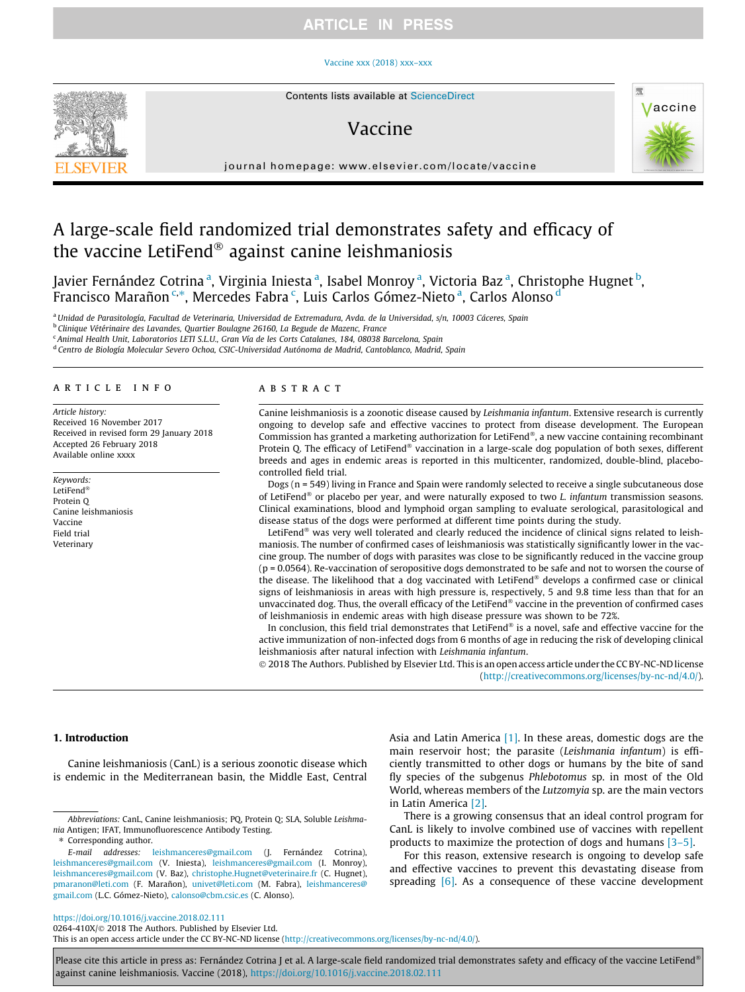#### [Vaccine xxx \(2018\) xxx–xxx](https://doi.org/10.1016/j.vaccine.2018.02.111)



# Vaccine



journal homepage: [www.elsevier.com/locate/vaccine](http://www.elsevier.com/locate/vaccine)

# A large-scale field randomized trial demonstrates safety and efficacy of the vaccine LetiFend<sup>®</sup> against canine leishmaniosis

Javier Fernández Cotrina <sup>a</sup>, Virginia Iniesta <sup>a</sup>, Isabel Monroy <sup>a</sup>, Victoria Baz <sup>a</sup>, Christophe Hugnet <sup>b</sup>, Francisco Marañon <sup>c,\*</sup>, Mercedes Fabra <sup>c</sup>, Luis Carlos Gómez-Nieto <sup>a</sup>, Carlos Alonso <sup>d</sup>

<sup>a</sup> Unidad de Parasitología, Facultad de Veterinaria, Universidad de Extremadura, Avda. de la Universidad, s/n, 10003 Cáceres, Spain <sup>b</sup> Clinique Vétérinaire des Lavandes, Quartier Boulagne 26160, La Begude de Mazenc, France <sup>c</sup> Animal Health Unit, Laboratorios LETI S.L.U., Gran Vía de les Corts Catalanes, 184, 08038 Barcelona, Spain

<sup>d</sup> Centro de Biología Molecular Severo Ochoa, CSIC-Universidad Autónoma de Madrid, Cantoblanco, Madrid, Spain

# ARTICLE INFO

Article history: Received 16 November 2017 Received in revised form 29 January 2018 Accepted 26 February 2018 Available online xxxx

Keywords: LetiFend $^0$ Protein Q Canine leishmaniosis Vaccine Field trial Veterinary

# **ABSTRACT**

Canine leishmaniosis is a zoonotic disease caused by Leishmania infantum. Extensive research is currently ongoing to develop safe and effective vaccines to protect from disease development. The European Commission has granted a marketing authorization for LetiFend®, a new vaccine containing recombinant Protein Q. The efficacy of LetiFend<sup>®</sup> vaccination in a large-scale dog population of both sexes, different breeds and ages in endemic areas is reported in this multicenter, randomized, double-blind, placebocontrolled field trial.

Dogs (n = 549) living in France and Spain were randomly selected to receive a single subcutaneous dose of LetiFend<sup>®</sup> or placebo per year, and were naturally exposed to two L. infantum transmission seasons. Clinical examinations, blood and lymphoid organ sampling to evaluate serological, parasitological and disease status of the dogs were performed at different time points during the study.

LetiFend<sup>®</sup> was very well tolerated and clearly reduced the incidence of clinical signs related to leishmaniosis. The number of confirmed cases of leishmaniosis was statistically significantly lower in the vaccine group. The number of dogs with parasites was close to be significantly reduced in the vaccine group  $(p = 0.0564)$ . Re-vaccination of seropositive dogs demonstrated to be safe and not to worsen the course of the disease. The likelihood that a dog vaccinated with LetiFend® develops a confirmed case or clinical signs of leishmaniosis in areas with high pressure is, respectively, 5 and 9.8 time less than that for an unvaccinated dog. Thus, the overall efficacy of the LetiFend® vaccine in the prevention of confirmed cases of leishmaniosis in endemic areas with high disease pressure was shown to be 72%.

In conclusion, this field trial demonstrates that LetiFend<sup>®</sup> is a novel, safe and effective vaccine for the active immunization of non-infected dogs from 6 months of age in reducing the risk of developing clinical leishmaniosis after natural infection with Leishmania infantum.

 2018 The Authors. Published by Elsevier Ltd. This is an open access article under the CC BY-NC-ND license (<http://creativecommons.org/licenses/by-nc-nd/4.0/>).

# 1. Introduction

Canine leishmaniosis (CanL) is a serious zoonotic disease which is endemic in the Mediterranean basin, the Middle East, Central

⇑ Corresponding author.

Asia and Latin America [\[1\]](#page-9-0). In these areas, domestic dogs are the main reservoir host; the parasite (Leishmania infantum) is efficiently transmitted to other dogs or humans by the bite of sand fly species of the subgenus Phlebotomus sp. in most of the Old World, whereas members of the Lutzomyia sp. are the main vectors in Latin America [\[2\].](#page-9-0)

There is a growing consensus that an ideal control program for CanL is likely to involve combined use of vaccines with repellent products to maximize the protection of dogs and humans [\[3–5\]](#page-9-0).

For this reason, extensive research is ongoing to develop safe and effective vaccines to prevent this devastating disease from spreading  $[6]$ . As a consequence of these vaccine development

<https://doi.org/10.1016/j.vaccine.2018.02.111> 0264-410X/ 2018 The Authors. Published by Elsevier Ltd.

This is an open access article under the CC BY-NC-ND license ([http://creativecommons.org/licenses/by-nc-nd/4.0/\)](http://creativecommons.org/licenses/by-nc-nd/4.0/).

Abbreviations: CanL, Canine leishmaniosis; PQ, Protein Q; SLA, Soluble Leishmania Antigen; IFAT, Immunofluorescence Antibody Testing.

E-mail addresses: [leishmanceres@gmail.com](mailto:leishmanceres@gmail.com) (J. Fernández Cotrina), [leishmanceres@gmail.com](mailto:leishmanceres@gmail.com) (V. Iniesta), [leishmanceres@gmail.com](mailto:leishmanceres@gmail.com) (I. Monroy), [leishmanceres@gmail.com](mailto:leishmanceres@gmail.com) (V. Baz), [christophe.Hugnet@veterinaire.fr](mailto:christophe.Hugnet@veterinaire.fr) (C. Hugnet), [pmaranon@leti.com](mailto:pmaranon@leti.com) (F. Marañon), [univet@leti.com](mailto:univet@leti.com) (M. Fabra), [leishmanceres@](mailto:leishmanceres@gmail.com) [gmail.com](mailto:leishmanceres@gmail.com) (L.C. Gómez-Nieto), [calonso@cbm.csic.es](mailto:calonso@cbm.csic.es) (C. Alonso).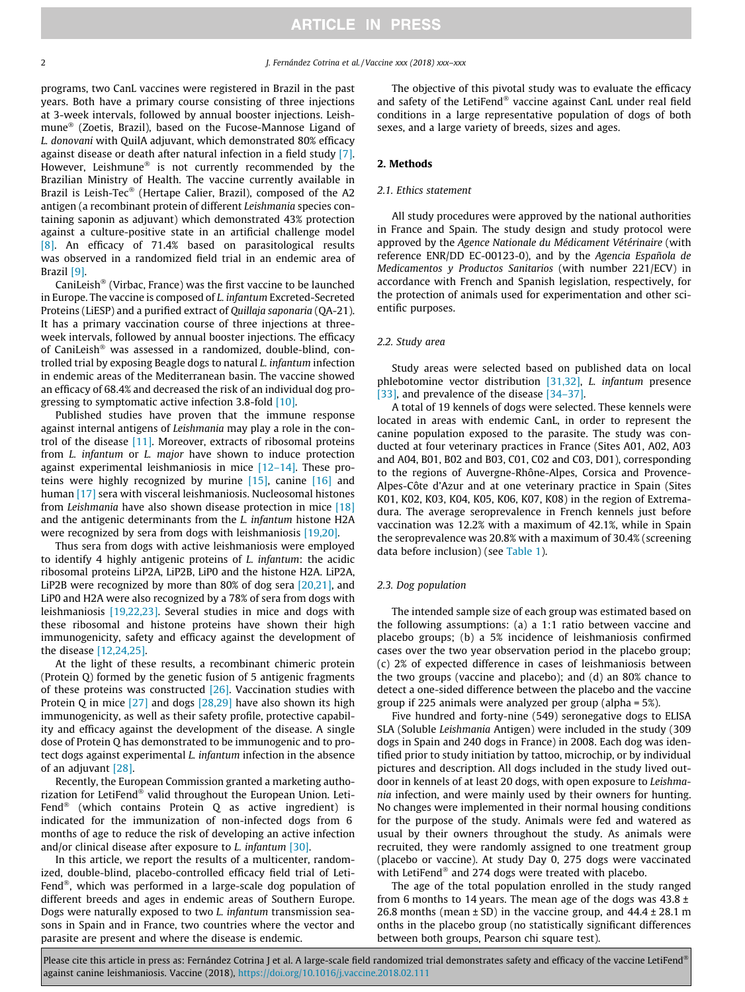programs, two CanL vaccines were registered in Brazil in the past years. Both have a primary course consisting of three injections at 3-week intervals, followed by annual booster injections. Leishmune<sup>®</sup> (Zoetis, Brazil), based on the Fucose-Mannose Ligand of L. donovani with QuilA adjuvant, which demonstrated 80% efficacy against disease or death after natural infection in a field study [\[7\].](#page-9-0) However, Leishmune® is not currently recommended by the Brazilian Ministry of Health. The vaccine currently available in Brazil is Leish-Tec<sup>®</sup> (Hertape Calier, Brazil), composed of the A2 antigen (a recombinant protein of different Leishmania species containing saponin as adjuvant) which demonstrated 43% protection against a culture-positive state in an artificial challenge model [\[8\]](#page-9-0). An efficacy of 71.4% based on parasitological results was observed in a randomized field trial in an endemic area of Brazil [\[9\].](#page-9-0)

CaniLeish<sup>®</sup> (Virbac, France) was the first vaccine to be launched in Europe. The vaccine is composed of L. infantum Excreted-Secreted Proteins (LiESP) and a purified extract of Quillaja saponaria (QA-21). It has a primary vaccination course of three injections at threeweek intervals, followed by annual booster injections. The efficacy of CaniLeish<sup>®</sup> was assessed in a randomized, double-blind, controlled trial by exposing Beagle dogs to natural L. infantum infection in endemic areas of the Mediterranean basin. The vaccine showed an efficacy of 68.4% and decreased the risk of an individual dog progressing to symptomatic active infection 3.8-fold [\[10\].](#page-9-0)

Published studies have proven that the immune response against internal antigens of Leishmania may play a role in the control of the disease [\[11\]](#page-9-0). Moreover, extracts of ribosomal proteins from L. infantum or L. major have shown to induce protection against experimental leishmaniosis in mice [\[12–14\]](#page-9-0). These proteins were highly recognized by murine [\[15\]](#page-9-0), canine [\[16\]](#page-9-0) and human [\[17\]](#page-9-0) sera with visceral leishmaniosis. Nucleosomal histones from Leishmania have also shown disease protection in mice [\[18\]](#page-9-0) and the antigenic determinants from the L. infantum histone H2A were recognized by sera from dogs with leishmaniosis [\[19,20\].](#page-9-0)

Thus sera from dogs with active leishmaniosis were employed to identify 4 highly antigenic proteins of L. infantum: the acidic ribosomal proteins LiP2A, LiP2B, LiP0 and the histone H2A. LiP2A, LiP2B were recognized by more than 80% of dog sera [\[20,21\]](#page-9-0), and LiP0 and H2A were also recognized by a 78% of sera from dogs with leishmaniosis [\[19,22,23\]](#page-9-0). Several studies in mice and dogs with these ribosomal and histone proteins have shown their high immunogenicity, safety and efficacy against the development of the disease [\[12,24,25\].](#page-9-0)

At the light of these results, a recombinant chimeric protein (Protein Q) formed by the genetic fusion of 5 antigenic fragments of these proteins was constructed  $[26]$ . Vaccination studies with Protein Q in mice [\[27\]](#page-9-0) and dogs [\[28,29\]](#page-9-0) have also shown its high immunogenicity, as well as their safety profile, protective capability and efficacy against the development of the disease. A single dose of Protein Q has demonstrated to be immunogenic and to protect dogs against experimental L. infantum infection in the absence of an adjuvant [\[28\].](#page-9-0)

Recently, the European Commission granted a marketing authorization for LetiFend® valid throughout the European Union. Leti-Fend<sup>®</sup> (which contains Protein  $Q$  as active ingredient) is indicated for the immunization of non-infected dogs from 6 months of age to reduce the risk of developing an active infection and/or clinical disease after exposure to L. infantum [\[30\]](#page-9-0).

In this article, we report the results of a multicenter, randomized, double-blind, placebo-controlled efficacy field trial of Leti-Fend®, which was performed in a large-scale dog population of different breeds and ages in endemic areas of Southern Europe. Dogs were naturally exposed to two L. infantum transmission seasons in Spain and in France, two countries where the vector and parasite are present and where the disease is endemic.

The objective of this pivotal study was to evaluate the efficacy and safety of the LetiFend<sup>®</sup> vaccine against CanL under real field conditions in a large representative population of dogs of both sexes, and a large variety of breeds, sizes and ages.

#### 2. Methods

# 2.1. Ethics statement

All study procedures were approved by the national authorities in France and Spain. The study design and study protocol were approved by the Agence Nationale du Médicament Vétérinaire (with reference ENR/DD EC-00123-0), and by the Agencia Española de Medicamentos y Productos Sanitarios (with number 221/ECV) in accordance with French and Spanish legislation, respectively, for the protection of animals used for experimentation and other scientific purposes.

# 2.2. Study area

Study areas were selected based on published data on local phlebotomine vector distribution [\[31,32\]](#page-9-0), L. infantum presence [\[33\]](#page-9-0), and prevalence of the disease [34-37].

A total of 19 kennels of dogs were selected. These kennels were located in areas with endemic CanL, in order to represent the canine population exposed to the parasite. The study was conducted at four veterinary practices in France (Sites A01, A02, A03 and A04, B01, B02 and B03, C01, C02 and C03, D01), corresponding to the regions of Auvergne-Rhône-Alpes, Corsica and Provence-Alpes-Côte d'Azur and at one veterinary practice in Spain (Sites K01, K02, K03, K04, K05, K06, K07, K08) in the region of Extremadura. The average seroprevalence in French kennels just before vaccination was 12.2% with a maximum of 42.1%, while in Spain the seroprevalence was 20.8% with a maximum of 30.4% (screening data before inclusion) (see [Table 1\)](#page-2-0).

#### 2.3. Dog population

The intended sample size of each group was estimated based on the following assumptions: (a) a 1:1 ratio between vaccine and placebo groups; (b) a 5% incidence of leishmaniosis confirmed cases over the two year observation period in the placebo group; (c) 2% of expected difference in cases of leishmaniosis between the two groups (vaccine and placebo); and (d) an 80% chance to detect a one-sided difference between the placebo and the vaccine group if 225 animals were analyzed per group (alpha = 5%).

Five hundred and forty-nine (549) seronegative dogs to ELISA SLA (Soluble Leishmania Antigen) were included in the study (309 dogs in Spain and 240 dogs in France) in 2008. Each dog was identified prior to study initiation by tattoo, microchip, or by individual pictures and description. All dogs included in the study lived outdoor in kennels of at least 20 dogs, with open exposure to Leishmania infection, and were mainly used by their owners for hunting. No changes were implemented in their normal housing conditions for the purpose of the study. Animals were fed and watered as usual by their owners throughout the study. As animals were recruited, they were randomly assigned to one treatment group (placebo or vaccine). At study Day 0, 275 dogs were vaccinated with LetiFend $^{\circ}$  and 274 dogs were treated with placebo.

The age of the total population enrolled in the study ranged from 6 months to 14 years. The mean age of the dogs was  $43.8 \pm$ 26.8 months (mean  $\pm$  SD) in the vaccine group, and  $44.4 \pm 28.1$  m onths in the placebo group (no statistically significant differences between both groups, Pearson chi square test).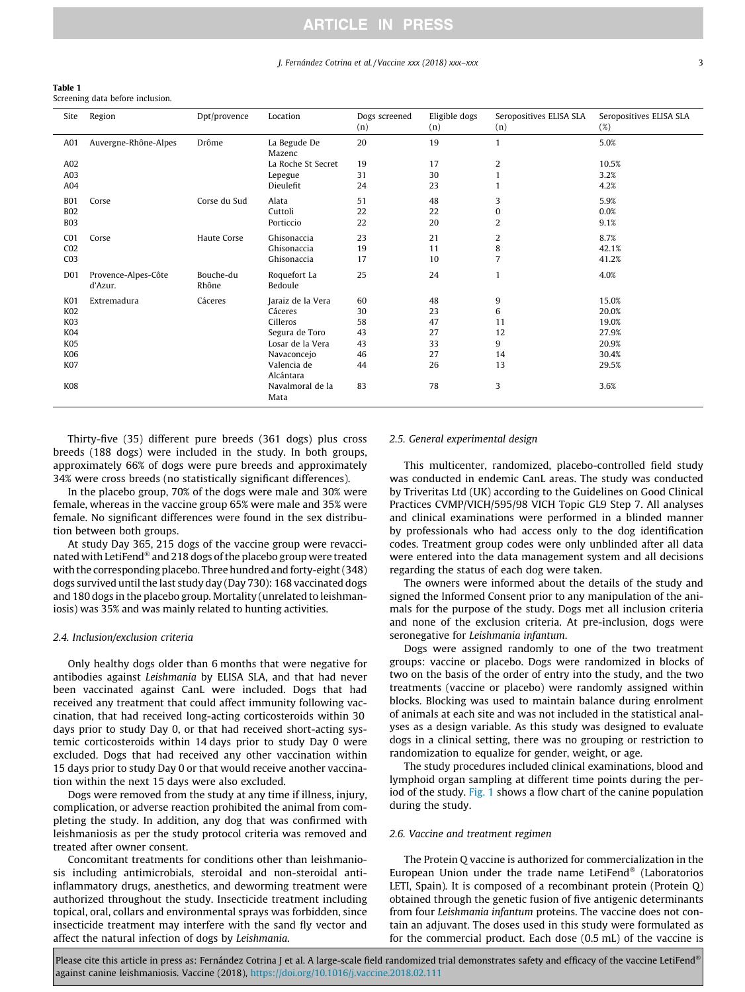<span id="page-2-0"></span>Table 1

Screening data before inclusion.

| Site            | Region                         | Dpt/provence       | Location                 | Dogs screened<br>(n) | Eligible dogs<br>(n) | Seropositives ELISA SLA<br>(n) | Seropositives ELISA SLA<br>(%) |
|-----------------|--------------------------------|--------------------|--------------------------|----------------------|----------------------|--------------------------------|--------------------------------|
| A01             | Auvergne-Rhône-Alpes           | Drôme              | La Begude De<br>Mazenc   | 20                   | 19                   | 1                              | 5.0%                           |
| A02             |                                |                    | La Roche St Secret       | 19                   | 17                   | 2                              | 10.5%                          |
| A03             |                                |                    | Lepegue                  | 31                   | 30                   | 1                              | 3.2%                           |
| A04             |                                |                    | Dieulefit                | 24                   | 23                   |                                | 4.2%                           |
| <b>B01</b>      | Corse                          | Corse du Sud       | Alata                    | 51                   | 48                   | 3                              | 5.9%                           |
| <b>B02</b>      |                                |                    | Cuttoli                  | 22                   | 22                   | 0                              | 0.0%                           |
| <b>B03</b>      |                                |                    | Porticcio                | 22                   | 20                   | $\overline{2}$                 | 9.1%                           |
| CO <sub>1</sub> | Corse                          | Haute Corse        | Ghisonaccia              | 23                   | 21                   | $\overline{2}$                 | 8.7%                           |
| CO <sub>2</sub> |                                |                    | Ghisonaccia              | 19                   | 11                   | 8                              | 42.1%                          |
| CO <sub>3</sub> |                                |                    | Ghisonaccia              | 17                   | 10                   | 7                              | 41.2%                          |
| D <sub>01</sub> | Provence-Alpes-Côte<br>d'Azur. | Bouche-du<br>Rhône | Roquefort La<br>Bedoule  | 25                   | 24                   |                                | 4.0%                           |
| <b>K01</b>      | Extremadura                    | Cáceres            | Jaraiz de la Vera        | 60                   | 48                   | 9                              | 15.0%                          |
| K02             |                                |                    | Cáceres                  | 30                   | 23                   | 6                              | 20.0%                          |
| K03             |                                |                    | Cilleros                 | 58                   | 47                   | 11                             | 19.0%                          |
| K04             |                                |                    | Segura de Toro           | 43                   | 27                   | 12                             | 27.9%                          |
| K <sub>05</sub> |                                |                    | Losar de la Vera         | 43                   | 33                   | 9                              | 20.9%                          |
| K06             |                                |                    | Navaconcejo              | 46                   | 27                   | 14                             | 30.4%                          |
| K07             |                                |                    | Valencia de<br>Alcántara | 44                   | 26                   | 13                             | 29.5%                          |
| K08             |                                |                    | Navalmoral de la<br>Mata | 83                   | 78                   | 3                              | 3.6%                           |

Thirty-five (35) different pure breeds (361 dogs) plus cross breeds (188 dogs) were included in the study. In both groups, approximately 66% of dogs were pure breeds and approximately 34% were cross breeds (no statistically significant differences).

In the placebo group, 70% of the dogs were male and 30% were female, whereas in the vaccine group 65% were male and 35% were female. No significant differences were found in the sex distribution between both groups.

At study Day 365, 215 dogs of the vaccine group were revaccinated with LetiFend<sup>®</sup> and 218 dogs of the placebo group were treated with the corresponding placebo. Three hundred and forty-eight (348) dogs survived until the last study day (Day 730): 168 vaccinated dogs and 180 dogs in the placebo group. Mortality (unrelated to leishmaniosis) was 35% and was mainly related to hunting activities.

# 2.4. Inclusion/exclusion criteria

Only healthy dogs older than 6 months that were negative for antibodies against Leishmania by ELISA SLA, and that had never been vaccinated against CanL were included. Dogs that had received any treatment that could affect immunity following vaccination, that had received long-acting corticosteroids within 30 days prior to study Day 0, or that had received short-acting systemic corticosteroids within 14 days prior to study Day 0 were excluded. Dogs that had received any other vaccination within 15 days prior to study Day 0 or that would receive another vaccination within the next 15 days were also excluded.

Dogs were removed from the study at any time if illness, injury, complication, or adverse reaction prohibited the animal from completing the study. In addition, any dog that was confirmed with leishmaniosis as per the study protocol criteria was removed and treated after owner consent.

Concomitant treatments for conditions other than leishmaniosis including antimicrobials, steroidal and non-steroidal antiinflammatory drugs, anesthetics, and deworming treatment were authorized throughout the study. Insecticide treatment including topical, oral, collars and environmental sprays was forbidden, since insecticide treatment may interfere with the sand fly vector and affect the natural infection of dogs by Leishmania.

#### 2.5. General experimental design

This multicenter, randomized, placebo-controlled field study was conducted in endemic CanL areas. The study was conducted by Triveritas Ltd (UK) according to the Guidelines on Good Clinical Practices CVMP/VICH/595/98 VICH Topic GL9 Step 7. All analyses and clinical examinations were performed in a blinded manner by professionals who had access only to the dog identification codes. Treatment group codes were only unblinded after all data were entered into the data management system and all decisions regarding the status of each dog were taken.

The owners were informed about the details of the study and signed the Informed Consent prior to any manipulation of the animals for the purpose of the study. Dogs met all inclusion criteria and none of the exclusion criteria. At pre-inclusion, dogs were seronegative for Leishmania infantum.

Dogs were assigned randomly to one of the two treatment groups: vaccine or placebo. Dogs were randomized in blocks of two on the basis of the order of entry into the study, and the two treatments (vaccine or placebo) were randomly assigned within blocks. Blocking was used to maintain balance during enrolment of animals at each site and was not included in the statistical analyses as a design variable. As this study was designed to evaluate dogs in a clinical setting, there was no grouping or restriction to randomization to equalize for gender, weight, or age.

The study procedures included clinical examinations, blood and lymphoid organ sampling at different time points during the period of the study. [Fig. 1](#page-3-0) shows a flow chart of the canine population during the study.

### 2.6. Vaccine and treatment regimen

The Protein Q vaccine is authorized for commercialization in the European Union under the trade name LetiFend<sup>®</sup> (Laboratorios LETI, Spain). It is composed of a recombinant protein (Protein Q) obtained through the genetic fusion of five antigenic determinants from four Leishmania infantum proteins. The vaccine does not contain an adjuvant. The doses used in this study were formulated as for the commercial product. Each dose (0.5 mL) of the vaccine is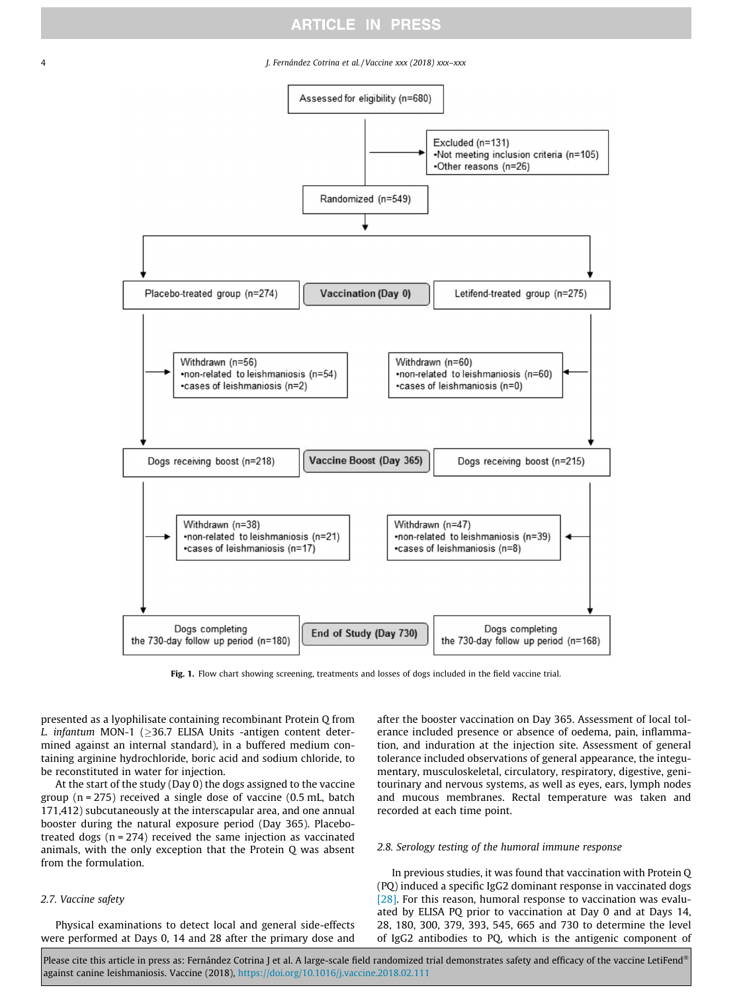#### <span id="page-3-0"></span>4 J. Fernández Cotrina et al. / Vaccine xxx (2018) xxx–xxx



Fig. 1. Flow chart showing screening, treatments and losses of dogs included in the field vaccine trial.

presented as a lyophilisate containing recombinant Protein Q from L. infantum MON-1 ( $\geq$ 36.7 ELISA Units -antigen content determined against an internal standard), in a buffered medium containing arginine hydrochloride, boric acid and sodium chloride, to be reconstituted in water for injection.

At the start of the study (Day 0) the dogs assigned to the vaccine group (n = 275) received a single dose of vaccine (0.5 mL, batch 171,412) subcutaneously at the interscapular area, and one annual booster during the natural exposure period (Day 365). Placebotreated dogs (n = 274) received the same injection as vaccinated animals, with the only exception that the Protein Q was absent from the formulation.

# 2.7. Vaccine safety

Physical examinations to detect local and general side-effects were performed at Days 0, 14 and 28 after the primary dose and after the booster vaccination on Day 365. Assessment of local tolerance included presence or absence of oedema, pain, inflammation, and induration at the injection site. Assessment of general tolerance included observations of general appearance, the integumentary, musculoskeletal, circulatory, respiratory, digestive, genitourinary and nervous systems, as well as eyes, ears, lymph nodes and mucous membranes. Rectal temperature was taken and recorded at each time point.

### 2.8. Serology testing of the humoral immune response

In previous studies, it was found that vaccination with Protein Q (PQ) induced a specific IgG2 dominant response in vaccinated dogs [\[28\]](#page-9-0). For this reason, humoral response to vaccination was evaluated by ELISA PQ prior to vaccination at Day 0 and at Days 14, 28, 180, 300, 379, 393, 545, 665 and 730 to determine the level of IgG2 antibodies to PQ, which is the antigenic component of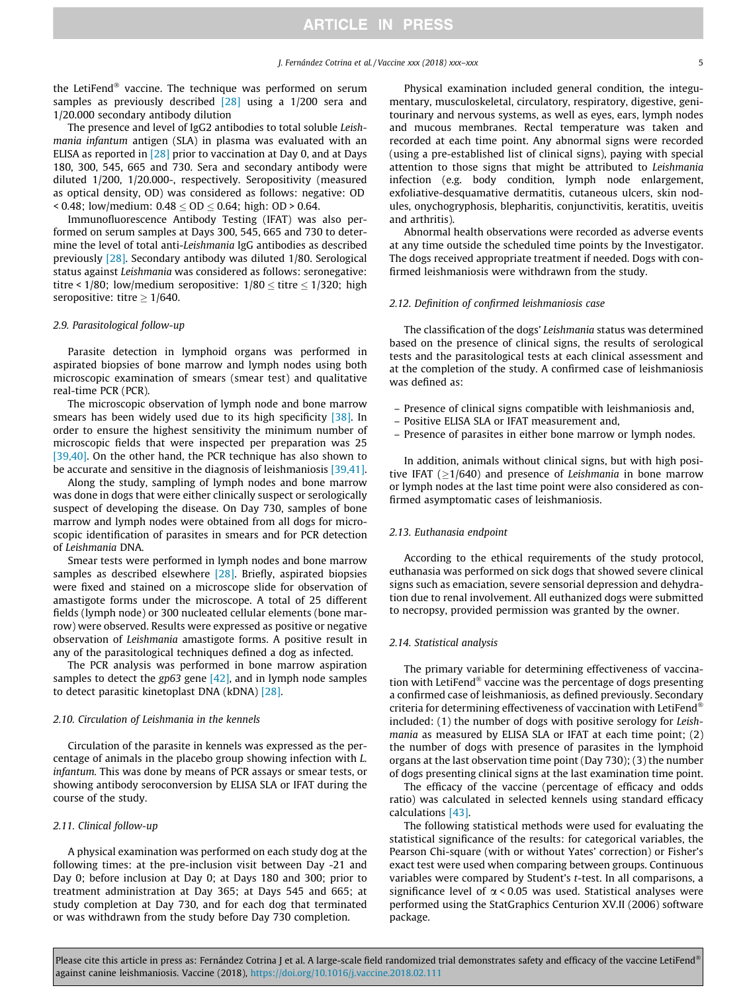the LetiFend<sup>®</sup> vaccine. The technique was performed on serum samples as previously described [\[28\]](#page-9-0) using a 1/200 sera and 1/20.000 secondary antibody dilution

The presence and level of IgG2 antibodies to total soluble Leishmania infantum antigen (SLA) in plasma was evaluated with an ELISA as reported in [\[28\]](#page-9-0) prior to vaccination at Day 0, and at Days 180, 300, 545, 665 and 730. Sera and secondary antibody were diluted 1/200, 1/20.000-, respectively. Seropositivity (measured as optical density, OD) was considered as follows: negative: OD  $\leq$  0.48; low/medium: 0.48  $\leq$  OD  $\leq$  0.64; high: OD  $>$  0.64.

Immunofluorescence Antibody Testing (IFAT) was also performed on serum samples at Days 300, 545, 665 and 730 to determine the level of total anti-Leishmania IgG antibodies as described previously [\[28\]](#page-9-0). Secondary antibody was diluted 1/80. Serological status against Leishmania was considered as follows: seronegative: titre < 1/80; low/medium seropositive:  $1/80 <$  titre  $< 1/320$ ; high seropositive: titre  $> 1/640$ .

# 2.9. Parasitological follow-up

Parasite detection in lymphoid organs was performed in aspirated biopsies of bone marrow and lymph nodes using both microscopic examination of smears (smear test) and qualitative real-time PCR (PCR).

The microscopic observation of lymph node and bone marrow smears has been widely used due to its high specificity [\[38\].](#page-9-0) In order to ensure the highest sensitivity the minimum number of microscopic fields that were inspected per preparation was 25 [\[39,40\]](#page-9-0). On the other hand, the PCR technique has also shown to be accurate and sensitive in the diagnosis of leishmaniosis [\[39,41\].](#page-9-0)

Along the study, sampling of lymph nodes and bone marrow was done in dogs that were either clinically suspect or serologically suspect of developing the disease. On Day 730, samples of bone marrow and lymph nodes were obtained from all dogs for microscopic identification of parasites in smears and for PCR detection of Leishmania DNA.

Smear tests were performed in lymph nodes and bone marrow samples as described elsewhere [\[28\]](#page-9-0). Briefly, aspirated biopsies were fixed and stained on a microscope slide for observation of amastigote forms under the microscope. A total of 25 different fields (lymph node) or 300 nucleated cellular elements (bone marrow) were observed. Results were expressed as positive or negative observation of Leishmania amastigote forms. A positive result in any of the parasitological techniques defined a dog as infected.

The PCR analysis was performed in bone marrow aspiration samples to detect the gp63 gene  $[42]$ , and in lymph node samples to detect parasitic kinetoplast DNA (kDNA) [\[28\]](#page-9-0).

#### 2.10. Circulation of Leishmania in the kennels

Circulation of the parasite in kennels was expressed as the percentage of animals in the placebo group showing infection with L. infantum. This was done by means of PCR assays or smear tests, or showing antibody seroconversion by ELISA SLA or IFAT during the course of the study.

# 2.11. Clinical follow-up

A physical examination was performed on each study dog at the following times: at the pre-inclusion visit between Day -21 and Day 0; before inclusion at Day 0; at Days 180 and 300; prior to treatment administration at Day 365; at Days 545 and 665; at study completion at Day 730, and for each dog that terminated or was withdrawn from the study before Day 730 completion.

Physical examination included general condition, the integumentary, musculoskeletal, circulatory, respiratory, digestive, genitourinary and nervous systems, as well as eyes, ears, lymph nodes and mucous membranes. Rectal temperature was taken and recorded at each time point. Any abnormal signs were recorded (using a pre-established list of clinical signs), paying with special attention to those signs that might be attributed to Leishmania infection (e.g. body condition, lymph node enlargement, exfoliative-desquamative dermatitis, cutaneous ulcers, skin nodules, onychogryphosis, blepharitis, conjunctivitis, keratitis, uveitis and arthritis).

Abnormal health observations were recorded as adverse events at any time outside the scheduled time points by the Investigator. The dogs received appropriate treatment if needed. Dogs with confirmed leishmaniosis were withdrawn from the study.

## 2.12. Definition of confirmed leishmaniosis case

The classification of the dogs' Leishmania status was determined based on the presence of clinical signs, the results of serological tests and the parasitological tests at each clinical assessment and at the completion of the study. A confirmed case of leishmaniosis was defined as:

- Presence of clinical signs compatible with leishmaniosis and,
- Positive ELISA SLA or IFAT measurement and,
- Presence of parasites in either bone marrow or lymph nodes.

In addition, animals without clinical signs, but with high positive IFAT ( $\geq$ 1/640) and presence of *Leishmania* in bone marrow or lymph nodes at the last time point were also considered as confirmed asymptomatic cases of leishmaniosis.

# 2.13. Euthanasia endpoint

According to the ethical requirements of the study protocol, euthanasia was performed on sick dogs that showed severe clinical signs such as emaciation, severe sensorial depression and dehydration due to renal involvement. All euthanized dogs were submitted to necropsy, provided permission was granted by the owner.

#### 2.14. Statistical analysis

The primary variable for determining effectiveness of vaccination with LetiFend<sup>®</sup> vaccine was the percentage of dogs presenting a confirmed case of leishmaniosis, as defined previously. Secondary criteria for determining effectiveness of vaccination with LetiFend included: (1) the number of dogs with positive serology for Leishmania as measured by ELISA SLA or IFAT at each time point; (2) the number of dogs with presence of parasites in the lymphoid organs at the last observation time point (Day 730); (3) the number of dogs presenting clinical signs at the last examination time point.

The efficacy of the vaccine (percentage of efficacy and odds ratio) was calculated in selected kennels using standard efficacy calculations [\[43\].](#page-9-0)

The following statistical methods were used for evaluating the statistical significance of the results: for categorical variables, the Pearson Chi-square (with or without Yates' correction) or Fisher's exact test were used when comparing between groups. Continuous variables were compared by Student's t-test. In all comparisons, a significance level of  $\alpha$  < 0.05 was used. Statistical analyses were performed using the StatGraphics Centurion XV.II (2006) software package.

Please cite this article in press as: Fernández Cotrina J et al. A large-scale field randomized trial demonstrates safety and efficacy of the vaccine LetiFend® against canine leishmaniosis. Vaccine (2018), <https://doi.org/10.1016/j.vaccine.2018.02.111>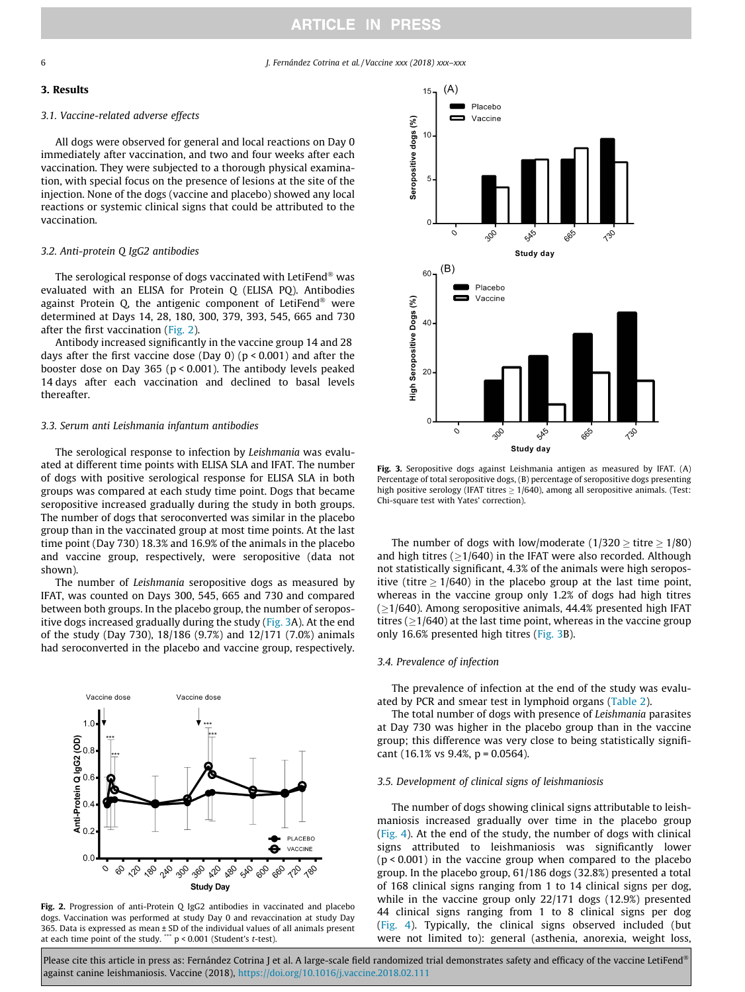# 3. Results

# 3.1. Vaccine-related adverse effects

All dogs were observed for general and local reactions on Day 0 immediately after vaccination, and two and four weeks after each vaccination. They were subjected to a thorough physical examination, with special focus on the presence of lesions at the site of the injection. None of the dogs (vaccine and placebo) showed any local reactions or systemic clinical signs that could be attributed to the vaccination.

# 3.2. Anti-protein Q IgG2 antibodies

The serological response of dogs vaccinated with LetiFend<sup>®</sup> was evaluated with an ELISA for Protein Q (ELISA PQ). Antibodies against Protein Q, the antigenic component of LetiFend<sup>®</sup> were determined at Days 14, 28, 180, 300, 379, 393, 545, 665 and 730 after the first vaccination (Fig. 2).

Antibody increased significantly in the vaccine group 14 and 28 days after the first vaccine dose (Day 0) ( $p < 0.001$ ) and after the booster dose on Day 365 (p < 0.001). The antibody levels peaked 14 days after each vaccination and declined to basal levels thereafter.

# 3.3. Serum anti Leishmania infantum antibodies

The serological response to infection by Leishmania was evaluated at different time points with ELISA SLA and IFAT. The number of dogs with positive serological response for ELISA SLA in both groups was compared at each study time point. Dogs that became seropositive increased gradually during the study in both groups. The number of dogs that seroconverted was similar in the placebo group than in the vaccinated group at most time points. At the last time point (Day 730) 18.3% and 16.9% of the animals in the placebo and vaccine group, respectively, were seropositive (data not shown).

The number of Leishmania seropositive dogs as measured by IFAT, was counted on Days 300, 545, 665 and 730 and compared between both groups. In the placebo group, the number of seropositive dogs increased gradually during the study (Fig. 3A). At the end of the study (Day 730), 18/186 (9.7%) and 12/171 (7.0%) animals had seroconverted in the placebo and vaccine group, respectively.







Fig. 3. Seropositive dogs against Leishmania antigen as measured by IFAT. (A) Percentage of total seropositive dogs, (B) percentage of seropositive dogs presenting high positive serology (IFAT titres  $\geq 1/640$ ), among all seropositive animals. (Test: Chi-square test with Yates' correction).

The number of dogs with low/moderate  $(1/320 > t$ itre  $> 1/80$ ) and high titres ( $\geq$ 1/640) in the IFAT were also recorded. Although not statistically significant, 4.3% of the animals were high seropositive (titre  $> 1/640$ ) in the placebo group at the last time point, whereas in the vaccine group only 1.2% of dogs had high titres  $(>1/640)$ . Among seropositive animals, 44.4% presented high IFAT titres  $(>1/640)$  at the last time point, whereas in the vaccine group only 16.6% presented high titres (Fig. 3B).

# 3.4. Prevalence of infection

The prevalence of infection at the end of the study was evaluated by PCR and smear test in lymphoid organs ([Table 2\)](#page-6-0).

The total number of dogs with presence of Leishmania parasites at Day 730 was higher in the placebo group than in the vaccine group; this difference was very close to being statistically significant (16.1% vs 9.4%, p = 0.0564).

### 3.5. Development of clinical signs of leishmaniosis

The number of dogs showing clinical signs attributable to leishmaniosis increased gradually over time in the placebo group ([Fig. 4](#page-6-0)). At the end of the study, the number of dogs with clinical signs attributed to leishmaniosis was significantly lower (p < 0.001) in the vaccine group when compared to the placebo group. In the placebo group, 61/186 dogs (32.8%) presented a total of 168 clinical signs ranging from 1 to 14 clinical signs per dog, while in the vaccine group only 22/171 dogs (12.9%) presented 44 clinical signs ranging from 1 to 8 clinical signs per dog ([Fig. 4\)](#page-6-0). Typically, the clinical signs observed included (but were not limited to): general (asthenia, anorexia, weight loss,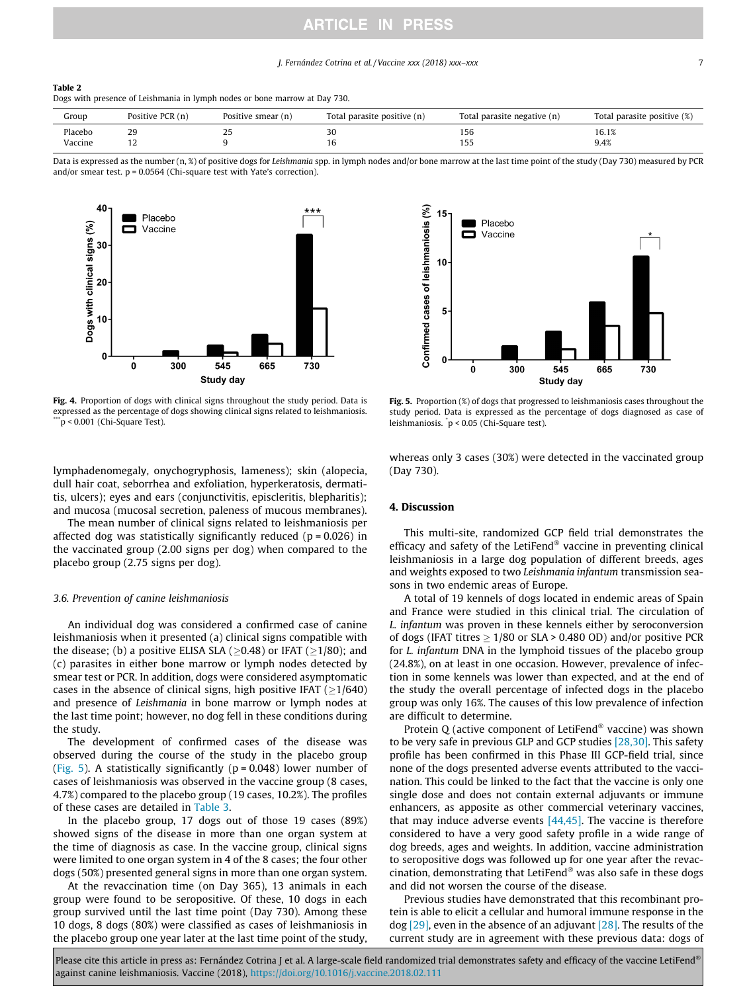#### J. Fernández Cotrina et al. / Vaccine xxx (2018) xxx–xxx 7

<span id="page-6-0"></span>Table 2 Dogs with presence of Leishmania in lymph nodes or bone marrow at Day 730.

| Group   | Positive PCR (n) | Positive smear (n) | Total parasite positive (n) | Total parasite negative (n) | Total parasite positive (%) |
|---------|------------------|--------------------|-----------------------------|-----------------------------|-----------------------------|
| Placebo | 29               | رے                 | 30                          | 156                         | 16.1%                       |
| Vaccine | $\overline{ }$   |                    | ιb                          | , ບປ                        | 9.4%                        |

Data is expressed as the number (n, %) of positive dogs for Leishmania spp. in lymph nodes and/or bone marrow at the last time point of the study (Day 730) measured by PCR and/or smear test.  $p = 0.0564$  (Chi-square test with Yate's correction).



Fig. 4. Proportion of dogs with clinical signs throughout the study period. Data is expressed as the percentage of dogs showing clinical signs related to leishmaniosis.  $\ddot{p}$  < 0.001 (Chi-Square Test).



Fig. 5. Proportion (%) of dogs that progressed to leishmaniosis cases throughout the study period. Data is expressed as the percentage of dogs diagnosed as case of leishmaniosis. \* p < 0.05 (Chi-Square test).

lymphadenomegaly, onychogryphosis, lameness); skin (alopecia, dull hair coat, seborrhea and exfoliation, hyperkeratosis, dermatitis, ulcers); eyes and ears (conjunctivitis, episcleritis, blepharitis); and mucosa (mucosal secretion, paleness of mucous membranes).

The mean number of clinical signs related to leishmaniosis per affected dog was statistically significantly reduced ( $p = 0.026$ ) in the vaccinated group (2.00 signs per dog) when compared to the placebo group (2.75 signs per dog).

# 3.6. Prevention of canine leishmaniosis

An individual dog was considered a confirmed case of canine leishmaniosis when it presented (a) clinical signs compatible with the disease; (b) a positive ELISA SLA ( $>0.48$ ) or IFAT ( $>1/80$ ); and (c) parasites in either bone marrow or lymph nodes detected by smear test or PCR. In addition, dogs were considered asymptomatic cases in the absence of clinical signs, high positive IFAT ( $\geq$ 1/640) and presence of Leishmania in bone marrow or lymph nodes at the last time point; however, no dog fell in these conditions during the study.

The development of confirmed cases of the disease was observed during the course of the study in the placebo group (Fig. 5). A statistically significantly ( $p = 0.048$ ) lower number of cases of leishmaniosis was observed in the vaccine group (8 cases, 4.7%) compared to the placebo group (19 cases, 10.2%). The profiles of these cases are detailed in [Table 3](#page-7-0).

In the placebo group, 17 dogs out of those 19 cases (89%) showed signs of the disease in more than one organ system at the time of diagnosis as case. In the vaccine group, clinical signs were limited to one organ system in 4 of the 8 cases; the four other dogs (50%) presented general signs in more than one organ system.

At the revaccination time (on Day 365), 13 animals in each group were found to be seropositive. Of these, 10 dogs in each group survived until the last time point (Day 730). Among these 10 dogs, 8 dogs (80%) were classified as cases of leishmaniosis in the placebo group one year later at the last time point of the study, whereas only 3 cases (30%) were detected in the vaccinated group (Day 730).

# 4. Discussion

This multi-site, randomized GCP field trial demonstrates the efficacy and safety of the LetiFend<sup>®</sup> vaccine in preventing clinical leishmaniosis in a large dog population of different breeds, ages and weights exposed to two Leishmania infantum transmission seasons in two endemic areas of Europe.

A total of 19 kennels of dogs located in endemic areas of Spain and France were studied in this clinical trial. The circulation of L. infantum was proven in these kennels either by seroconversion of dogs (IFAT titres  $> 1/80$  or SLA  $> 0.480$  OD) and/or positive PCR for L. infantum DNA in the lymphoid tissues of the placebo group (24.8%), on at least in one occasion. However, prevalence of infection in some kennels was lower than expected, and at the end of the study the overall percentage of infected dogs in the placebo group was only 16%. The causes of this low prevalence of infection are difficult to determine.

Protein Q (active component of LetiFend<sup>®</sup> vaccine) was shown to be very safe in previous GLP and GCP studies [\[28,30\]](#page-9-0). This safety profile has been confirmed in this Phase III GCP-field trial, since none of the dogs presented adverse events attributed to the vaccination. This could be linked to the fact that the vaccine is only one single dose and does not contain external adjuvants or immune enhancers, as apposite as other commercial veterinary vaccines, that may induce adverse events  $[44,45]$ . The vaccine is therefore considered to have a very good safety profile in a wide range of dog breeds, ages and weights. In addition, vaccine administration to seropositive dogs was followed up for one year after the revaccination, demonstrating that LetiFend<sup>®</sup> was also safe in these dogs and did not worsen the course of the disease.

Previous studies have demonstrated that this recombinant protein is able to elicit a cellular and humoral immune response in the dog [\[29\],](#page-9-0) even in the absence of an adjuvant [\[28\].](#page-9-0) The results of the current study are in agreement with these previous data: dogs of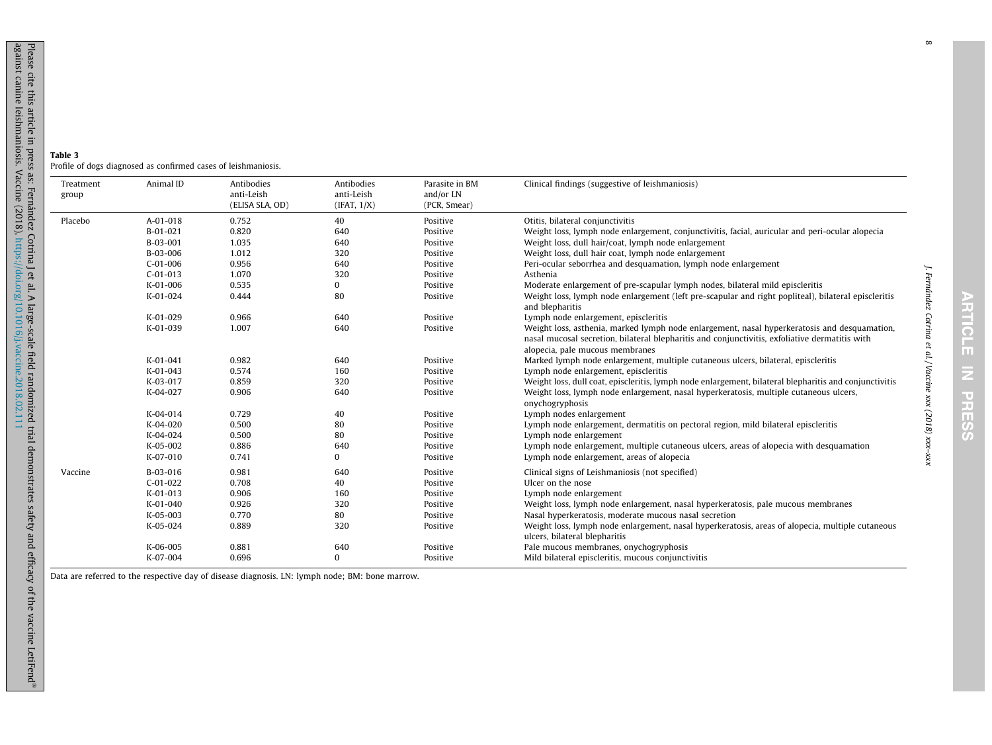| Profile of dogs diagnosed as confirmed cases of leishmaniosis. |  |  |  |
|----------------------------------------------------------------|--|--|--|
|                                                                |  |  |  |

| Treatment<br>group | Animal ID      | Antibodies<br>anti-Leish<br>(ELISA SLA, OD) | Antibodies<br>anti-Leish<br>(IFAT, 1/X) | Parasite in BM<br>and/or LN<br>(PCR, Smear) | Clinical findings (suggestive of leishmaniosis)                                                                                                                                                                                   |
|--------------------|----------------|---------------------------------------------|-----------------------------------------|---------------------------------------------|-----------------------------------------------------------------------------------------------------------------------------------------------------------------------------------------------------------------------------------|
| Placebo            | A-01-018       | 0.752                                       | 40                                      | Positive                                    | Otitis, bilateral conjunctivitis                                                                                                                                                                                                  |
|                    | $B - 01 - 021$ | 0.820                                       | 640                                     | Positive                                    | Weight loss, lymph node enlargement, conjunctivitis, facial, auricular and peri-ocular alopecia                                                                                                                                   |
|                    | B-03-001       | 1.035                                       | 640                                     | Positive                                    | Weight loss, dull hair/coat, lymph node enlargement                                                                                                                                                                               |
|                    | B-03-006       | 1.012                                       | 320                                     | Positive                                    | Weight loss, dull hair coat, lymph node enlargement                                                                                                                                                                               |
|                    | $C-01-006$     | 0.956                                       | 640                                     | Positive                                    | Peri-ocular seborrhea and desquamation, lymph node enlargement                                                                                                                                                                    |
|                    | $C-01-013$     | 1.070                                       | 320                                     | Positive                                    | Asthenia                                                                                                                                                                                                                          |
|                    | K-01-006       | 0.535                                       | 0                                       | Positive                                    | Moderate enlargement of pre-scapular lymph nodes, bilateral mild episcleritis                                                                                                                                                     |
|                    | K-01-024       | 0.444                                       | 80                                      | Positive                                    | Weight loss, lymph node enlargement (left pre-scapular and right popliteal), bilateral episcleritis<br>and blepharitis                                                                                                            |
|                    | K-01-029       | 0.966                                       | 640                                     | Positive                                    | Lymph node enlargement, episcleritis                                                                                                                                                                                              |
|                    | K-01-039       | 1.007                                       | 640                                     | Positive                                    | Weight loss, asthenia, marked lymph node enlargement, nasal hyperkeratosis and desquamation,<br>nasal mucosal secretion, bilateral blepharitis and conjunctivitis, exfoliative dermatitis with<br>alopecia, pale mucous membranes |
|                    | K-01-041       | 0.982                                       | 640                                     | Positive                                    | Marked lymph node enlargement, multiple cutaneous ulcers, bilateral, episcleritis                                                                                                                                                 |
|                    | K-01-043       | 0.574                                       | 160                                     | Positive                                    | Lymph node enlargement, episcleritis                                                                                                                                                                                              |
|                    | K-03-017       | 0.859                                       | 320                                     | Positive                                    | Weight loss, dull coat, episcleritis, lymph node enlargement, bilateral blepharitis and conjunctivitis                                                                                                                            |
|                    | K-04-027       | 0.906                                       | 640                                     | Positive                                    | Weight loss, lymph node enlargement, nasal hyperkeratosis, multiple cutaneous ulcers,<br>onychogryphosis                                                                                                                          |
|                    | K-04-014       | 0.729                                       | 40                                      | Positive                                    | Lymph nodes enlargement                                                                                                                                                                                                           |
|                    | K-04-020       | 0.500                                       | 80                                      | Positive                                    | Lymph node enlargement, dermatitis on pectoral region, mild bilateral episcleritis                                                                                                                                                |
|                    | K-04-024       | 0.500                                       | 80                                      | Positive                                    | Lymph node enlargement                                                                                                                                                                                                            |
|                    | K-05-002       | 0.886                                       | 640                                     | Positive                                    | Lymph node enlargement, multiple cutaneous ulcers, areas of alopecia with desquamation                                                                                                                                            |
|                    | K-07-010       | 0.741                                       | 0                                       | Positive                                    | Lymph node enlargement, areas of alopecia                                                                                                                                                                                         |
| Vaccine            | B-03-016       | 0.981                                       | 640                                     | Positive                                    | Clinical signs of Leishmaniosis (not specified)                                                                                                                                                                                   |
|                    | $C-01-022$     | 0.708                                       | 40                                      | Positive                                    | Ulcer on the nose                                                                                                                                                                                                                 |
|                    | K-01-013       | 0.906                                       | 160                                     | Positive                                    | Lymph node enlargement                                                                                                                                                                                                            |
|                    | K-01-040       | 0.926                                       | 320                                     | Positive                                    | Weight loss, lymph node enlargement, nasal hyperkeratosis, pale mucous membranes                                                                                                                                                  |
|                    | K-05-003       | 0.770                                       | 80                                      | Positive                                    | Nasal hyperkeratosis, moderate mucous nasal secretion                                                                                                                                                                             |
|                    | K-05-024       | 0.889                                       | 320                                     | Positive                                    | Weight loss, lymph node enlargement, nasal hyperkeratosis, areas of alopecia, multiple cutaneous<br>ulcers, bilateral blepharitis                                                                                                 |
|                    | K-06-005       | 0.881                                       | 640                                     | Positive                                    | Pale mucous membranes, onychogryphosis                                                                                                                                                                                            |
|                    | K-07-004       | 0.696                                       | $\Omega$                                | Positive                                    | Mild bilateral episcleritis, mucous conjunctivitis                                                                                                                                                                                |

Data are referred to the respective day of disease diagnosis. LN: lymph node; BM: bone marrow.

<span id="page-7-0"></span>Table 3

J. Fernández Cotrina et al. / Vaccine xxx (2018) xxx–xxx

J. Fernández Cotrina et al./Vaccine xxx (2018) xxx-xxx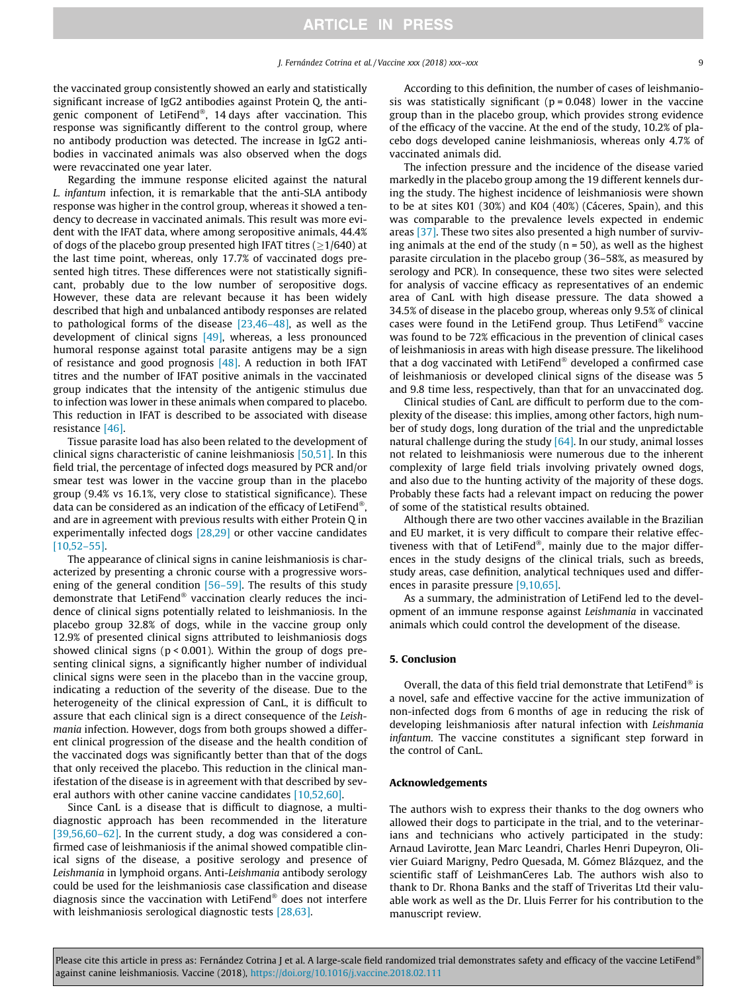the vaccinated group consistently showed an early and statistically significant increase of IgG2 antibodies against Protein Q, the antigenic component of LetiFend®. 14 days after vaccination. This response was significantly different to the control group, where no antibody production was detected. The increase in IgG2 antibodies in vaccinated animals was also observed when the dogs were revaccinated one year later.

Regarding the immune response elicited against the natural L. infantum infection, it is remarkable that the anti-SLA antibody response was higher in the control group, whereas it showed a tendency to decrease in vaccinated animals. This result was more evident with the IFAT data, where among seropositive animals, 44.4% of dogs of the placebo group presented high IFAT titres ( $\geq$ 1/640) at the last time point, whereas, only 17.7% of vaccinated dogs presented high titres. These differences were not statistically significant, probably due to the low number of seropositive dogs. However, these data are relevant because it has been widely described that high and unbalanced antibody responses are related to pathological forms of the disease [\[23,46–48\]](#page-9-0), as well as the development of clinical signs [\[49\],](#page-10-0) whereas, a less pronounced humoral response against total parasite antigens may be a sign of resistance and good prognosis [\[48\]](#page-10-0). A reduction in both IFAT titres and the number of IFAT positive animals in the vaccinated group indicates that the intensity of the antigenic stimulus due to infection was lower in these animals when compared to placebo. This reduction in IFAT is described to be associated with disease resistance [\[46\]](#page-10-0).

Tissue parasite load has also been related to the development of clinical signs characteristic of canine leishmaniosis [\[50,51\].](#page-10-0) In this field trial, the percentage of infected dogs measured by PCR and/or smear test was lower in the vaccine group than in the placebo group (9.4% vs 16.1%, very close to statistical significance). These data can be considered as an indication of the efficacy of LetiFend®, and are in agreement with previous results with either Protein Q in experimentally infected dogs [\[28,29\]](#page-9-0) or other vaccine candidates [\[10,52–55\].](#page-9-0)

The appearance of clinical signs in canine leishmaniosis is characterized by presenting a chronic course with a progressive worsening of the general condition [\[56–59\]](#page-10-0). The results of this study demonstrate that LetiFend<sup>®</sup> vaccination clearly reduces the incidence of clinical signs potentially related to leishmaniosis. In the placebo group 32.8% of dogs, while in the vaccine group only 12.9% of presented clinical signs attributed to leishmaniosis dogs showed clinical signs ( $p < 0.001$ ). Within the group of dogs presenting clinical signs, a significantly higher number of individual clinical signs were seen in the placebo than in the vaccine group, indicating a reduction of the severity of the disease. Due to the heterogeneity of the clinical expression of CanL, it is difficult to assure that each clinical sign is a direct consequence of the Leishmania infection. However, dogs from both groups showed a different clinical progression of the disease and the health condition of the vaccinated dogs was significantly better than that of the dogs that only received the placebo. This reduction in the clinical manifestation of the disease is in agreement with that described by sev-eral authors with other canine vaccine candidates [\[10,52,60\]](#page-9-0).

Since CanL is a disease that is difficult to diagnose, a multidiagnostic approach has been recommended in the literature [\[39,56,60–62\]](#page-9-0). In the current study, a dog was considered a confirmed case of leishmaniosis if the animal showed compatible clinical signs of the disease, a positive serology and presence of Leishmania in lymphoid organs. Anti-Leishmania antibody serology could be used for the leishmaniosis case classification and disease diagnosis since the vaccination with LetiFend<sup>®</sup> does not interfere with leishmaniosis serological diagnostic tests [\[28,63\]](#page-9-0).

According to this definition, the number of cases of leishmaniosis was statistically significant ( $p = 0.048$ ) lower in the vaccine group than in the placebo group, which provides strong evidence of the efficacy of the vaccine. At the end of the study, 10.2% of placebo dogs developed canine leishmaniosis, whereas only 4.7% of vaccinated animals did.

The infection pressure and the incidence of the disease varied markedly in the placebo group among the 19 different kennels during the study. The highest incidence of leishmaniosis were shown to be at sites K01 (30%) and K04 (40%) (Cáceres, Spain), and this was comparable to the prevalence levels expected in endemic areas [\[37\].](#page-9-0) These two sites also presented a high number of surviving animals at the end of the study ( $n = 50$ ), as well as the highest parasite circulation in the placebo group (36–58%, as measured by serology and PCR). In consequence, these two sites were selected for analysis of vaccine efficacy as representatives of an endemic area of CanL with high disease pressure. The data showed a 34.5% of disease in the placebo group, whereas only 9.5% of clinical cases were found in the LetiFend group. Thus LetiFend<sup>®</sup> vaccine was found to be 72% efficacious in the prevention of clinical cases of leishmaniosis in areas with high disease pressure. The likelihood that a dog vaccinated with LetiFend<sup>®</sup> developed a confirmed case of leishmaniosis or developed clinical signs of the disease was 5 and 9.8 time less, respectively, than that for an unvaccinated dog.

Clinical studies of CanL are difficult to perform due to the complexity of the disease: this implies, among other factors, high number of study dogs, long duration of the trial and the unpredictable natural challenge during the study  $[64]$ . In our study, animal losses not related to leishmaniosis were numerous due to the inherent complexity of large field trials involving privately owned dogs, and also due to the hunting activity of the majority of these dogs. Probably these facts had a relevant impact on reducing the power of some of the statistical results obtained.

Although there are two other vaccines available in the Brazilian and EU market, it is very difficult to compare their relative effectiveness with that of LetiFend®, mainly due to the major differences in the study designs of the clinical trials, such as breeds, study areas, case definition, analytical techniques used and differences in parasite pressure [\[9,10,65\]](#page-9-0).

As a summary, the administration of LetiFend led to the development of an immune response against Leishmania in vaccinated animals which could control the development of the disease.

# 5. Conclusion

Overall, the data of this field trial demonstrate that LetiFend<sup>®</sup> is a novel, safe and effective vaccine for the active immunization of non-infected dogs from 6 months of age in reducing the risk of developing leishmaniosis after natural infection with Leishmania infantum. The vaccine constitutes a significant step forward in the control of CanL.

#### Acknowledgements

The authors wish to express their thanks to the dog owners who allowed their dogs to participate in the trial, and to the veterinarians and technicians who actively participated in the study: Arnaud Lavirotte, Jean Marc Leandri, Charles Henri Dupeyron, Olivier Guiard Marigny, Pedro Quesada, M. Gómez Blázquez, and the scientific staff of LeishmanCeres Lab. The authors wish also to thank to Dr. Rhona Banks and the staff of Triveritas Ltd their valuable work as well as the Dr. Lluis Ferrer for his contribution to the manuscript review.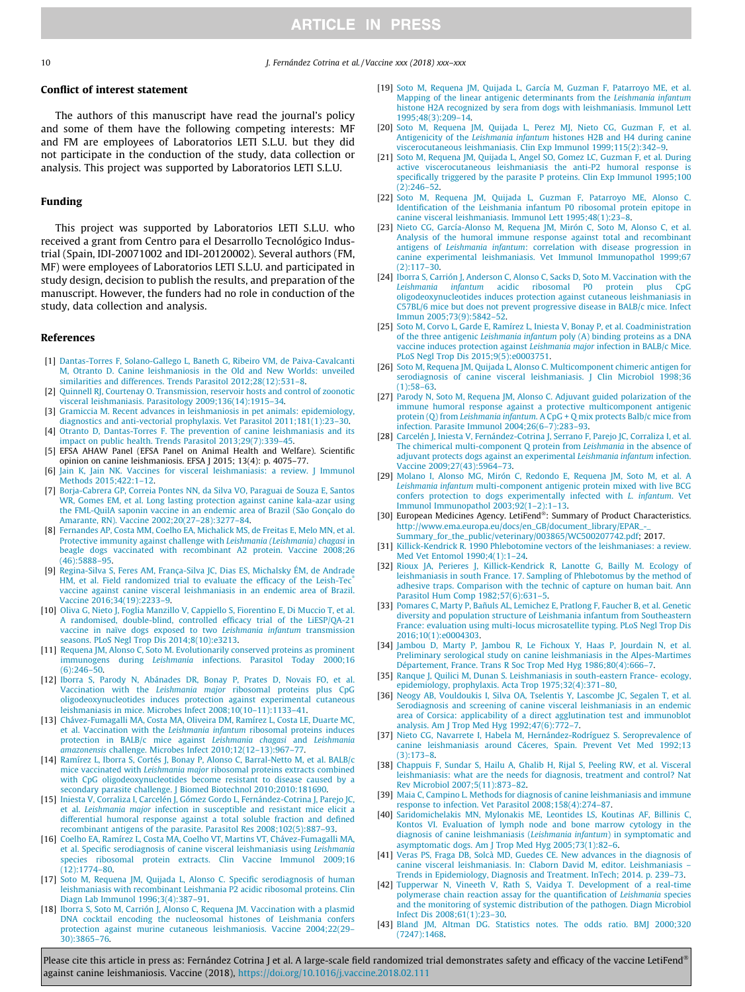<span id="page-9-0"></span>10 J. Fernández Cotrina et al. / Vaccine xxx (2018) xxx–xxx

# Conflict of interest statement

The authors of this manuscript have read the journal's policy and some of them have the following competing interests: MF and FM are employees of Laboratorios LETI S.L.U. but they did not participate in the conduction of the study, data collection or analysis. This project was supported by Laboratorios LETI S.L.U.

# Funding

This project was supported by Laboratorios LETI S.L.U. who received a grant from Centro para el Desarrollo Tecnológico Industrial (Spain, IDI-20071002 and IDI-20120002). Several authors (FM, MF) were employees of Laboratorios LETI S.L.U. and participated in study design, decision to publish the results, and preparation of the manuscript. However, the funders had no role in conduction of the study, data collection and analysis.

#### References

- [1] [Dantas-Torres F, Solano-Gallego L, Baneth G, Ribeiro VM, de Paiva-Cavalcanti](http://refhub.elsevier.com/S0264-410X(18)30321-9/h0005) [M, Otranto D. Canine leishmaniosis in the Old and New Worlds: unveiled](http://refhub.elsevier.com/S0264-410X(18)30321-9/h0005) [similarities and differences. Trends Parasitol 2012;28\(12\):531–8.](http://refhub.elsevier.com/S0264-410X(18)30321-9/h0005)
- [2] [Quinnell RJ, Courtenay O. Transmission, reservoir hosts and control of zoonotic](http://refhub.elsevier.com/S0264-410X(18)30321-9/h0010) [visceral leishmaniasis. Parasitology 2009;136\(14\):1915–34.](http://refhub.elsevier.com/S0264-410X(18)30321-9/h0010)
- [3] [Gramiccia M. Recent advances in leishmaniosis in pet animals: epidemiology,](http://refhub.elsevier.com/S0264-410X(18)30321-9/h0015)
- [diagnostics and anti-vectorial prophylaxis. Vet Parasitol 2011;181\(1\):23–30.](http://refhub.elsevier.com/S0264-410X(18)30321-9/h0015)
- [4] [Otranto D, Dantas-Torres F. The prevention of canine leishmaniasis and its](http://refhub.elsevier.com/S0264-410X(18)30321-9/h0020) [impact on public health. Trends Parasitol 2013;29\(7\):339–45](http://refhub.elsevier.com/S0264-410X(18)30321-9/h0020).
- [5] EFSA AHAW Panel (EFSA Panel on Animal Health and Welfare). Scientific opinion on canine leishmaniosis. EFSA J 2015; 13(4): p. 4075–77.
- [6] [Jain K, Jain NK. Vaccines for visceral leishmaniasis: a review. J Immunol](http://refhub.elsevier.com/S0264-410X(18)30321-9/h0030) [Methods 2015;422:1–12.](http://refhub.elsevier.com/S0264-410X(18)30321-9/h0030)
- [7] [Borja-Cabrera GP, Correia Pontes NN, da Silva VO, Paraguai de Souza E, Santos](http://refhub.elsevier.com/S0264-410X(18)30321-9/h0035) [WR, Gomes EM, et al. Long lasting protection against canine kala-azar using](http://refhub.elsevier.com/S0264-410X(18)30321-9/h0035) [the FML-QuilA saponin vaccine in an endemic area of Brazil \(São Gonçalo do](http://refhub.elsevier.com/S0264-410X(18)30321-9/h0035) [Amarante, RN\). Vaccine 2002;20\(27–28\):3277–84](http://refhub.elsevier.com/S0264-410X(18)30321-9/h0035).
- [8] [Fernandes AP, Costa MM, Coelho EA, Michalick MS, de Freitas E, Melo MN, et al.](http://refhub.elsevier.com/S0264-410X(18)30321-9/h0040) [Protective immunity against challenge with](http://refhub.elsevier.com/S0264-410X(18)30321-9/h0040) Leishmania (Leishmania) chagasi in [beagle dogs vaccinated with recombinant A2 protein. Vaccine 2008;26](http://refhub.elsevier.com/S0264-410X(18)30321-9/h0040) [\(46\):5888–95](http://refhub.elsevier.com/S0264-410X(18)30321-9/h0040).
- [9] [Regina-Silva S, Feres AM, França-Silva JC, Dias ES, Michalsky ÉM, de Andrade](http://refhub.elsevier.com/S0264-410X(18)30321-9/h0045) HM, et al. Field randomized trial to evaluate the efficacy of the Leish-Tec [vaccine against canine visceral leishmaniasis in an endemic area of Brazil.](http://refhub.elsevier.com/S0264-410X(18)30321-9/h0045) [Vaccine 2016;34\(19\):2233–9](http://refhub.elsevier.com/S0264-410X(18)30321-9/h0045).
- [10] [Oliva G, Nieto J, Foglia Manzillo V, Cappiello S, Fiorentino E, Di Muccio T, et al.](http://refhub.elsevier.com/S0264-410X(18)30321-9/h0050) [A randomised, double-blind, controlled efficacy trial of the LiESP/QA-21](http://refhub.elsevier.com/S0264-410X(18)30321-9/h0050) [vaccine in naïve dogs exposed to two](http://refhub.elsevier.com/S0264-410X(18)30321-9/h0050) Leishmania infantum transmission [seasons. PLoS Negl Trop Dis 2014;8\(10\):e3213.](http://refhub.elsevier.com/S0264-410X(18)30321-9/h0050)
- [11] [Requena JM, Alonso C, Soto M. Evolutionarily conserved proteins as prominent](http://refhub.elsevier.com/S0264-410X(18)30321-9/h0055) immunogens during Leishmania [infections. Parasitol Today 2000;16](http://refhub.elsevier.com/S0264-410X(18)30321-9/h0055) [\(6\):246–50](http://refhub.elsevier.com/S0264-410X(18)30321-9/h0055).
- [12] [Iborra S, Parody N, Abánades DR, Bonay P, Prates D, Novais FO, et al.](http://refhub.elsevier.com/S0264-410X(18)30321-9/h0060) Vaccination with the Leishmania major [ribosomal proteins plus CpG](http://refhub.elsevier.com/S0264-410X(18)30321-9/h0060) [oligodeoxynucleotides induces protection against experimental cutaneous](http://refhub.elsevier.com/S0264-410X(18)30321-9/h0060) [leishmaniasis in mice. Microbes Infect 2008;10\(10–11\):1133–41.](http://refhub.elsevier.com/S0264-410X(18)30321-9/h0060)
- [13] [Chávez-Fumagalli MA, Costa MA, Oliveira DM, Ramírez L, Costa LE, Duarte MC,](http://refhub.elsevier.com/S0264-410X(18)30321-9/h0065) et al. Vaccination with the Leishmania infantum [ribosomal proteins induces](http://refhub.elsevier.com/S0264-410X(18)30321-9/h0065) [protection in BALB/c mice against](http://refhub.elsevier.com/S0264-410X(18)30321-9/h0065) Leishmania chagasi and Leishmania amazonensis [challenge. Microbes Infect 2010;12\(12–13\):967–77](http://refhub.elsevier.com/S0264-410X(18)30321-9/h0065).
- [14] [Ramírez L, Iborra S, Cortés J, Bonay P, Alonso C, Barral-Netto M, et al. BALB/c](http://refhub.elsevier.com/S0264-410X(18)30321-9/h0070) mice vaccinated with Leishmania major [ribosomal proteins extracts combined](http://refhub.elsevier.com/S0264-410X(18)30321-9/h0070) [with CpG oligodeoxynucleotides become resistant to disease caused by a](http://refhub.elsevier.com/S0264-410X(18)30321-9/h0070) [secondary parasite challenge. J Biomed Biotechnol 2010;2010:181690](http://refhub.elsevier.com/S0264-410X(18)30321-9/h0070).
- [15] [Iniesta V, Corraliza I, Carcelén J, Gómez Gordo L, Fernández-Cotrina J, Parejo JC,](http://refhub.elsevier.com/S0264-410X(18)30321-9/h0075) et al. Leishmania major [infection in susceptible and resistant mice elicit a](http://refhub.elsevier.com/S0264-410X(18)30321-9/h0075) [differential humoral response against a total soluble fraction and defined](http://refhub.elsevier.com/S0264-410X(18)30321-9/h0075) [recombinant antigens of the parasite. Parasitol Res 2008;102\(5\):887–93.](http://refhub.elsevier.com/S0264-410X(18)30321-9/h0075)
- [16] [Coelho EA, Ramírez L, Costa MA, Coelho VT, Martins VT, Chávez-Fumagalli MA,](http://refhub.elsevier.com/S0264-410X(18)30321-9/h0080) [et al. Specific serodiagnosis of canine visceral leishmaniasis using](http://refhub.elsevier.com/S0264-410X(18)30321-9/h0080) Leishmania [species ribosomal protein extracts. Clin Vaccine Immunol 2009;16](http://refhub.elsevier.com/S0264-410X(18)30321-9/h0080) [\(12\):1774–80.](http://refhub.elsevier.com/S0264-410X(18)30321-9/h0080)
- [17] [Soto M, Requena JM, Quijada L, Alonso C. Specific serodiagnosis of human](http://refhub.elsevier.com/S0264-410X(18)30321-9/h0085) [leishmaniasis with recombinant Leishmania P2 acidic ribosomal proteins. Clin](http://refhub.elsevier.com/S0264-410X(18)30321-9/h0085) [Diagn Lab Immunol 1996;3\(4\):387–91.](http://refhub.elsevier.com/S0264-410X(18)30321-9/h0085)
- [18] [Iborra S, Soto M, Carrión J, Alonso C, Requena JM. Vaccination with a plasmid](http://refhub.elsevier.com/S0264-410X(18)30321-9/h0090) [DNA cocktail encoding the nucleosomal histones of Leishmania confers](http://refhub.elsevier.com/S0264-410X(18)30321-9/h0090) [protection against murine cutaneous leishmaniosis. Vaccine 2004;22\(29–](http://refhub.elsevier.com/S0264-410X(18)30321-9/h0090) [30\):3865–76](http://refhub.elsevier.com/S0264-410X(18)30321-9/h0090).
- [19] [Soto M, Requena JM, Quijada L, García M, Guzman F, Patarroyo ME, et al.](http://refhub.elsevier.com/S0264-410X(18)30321-9/h0095) [Mapping of the linear antigenic determinants from the](http://refhub.elsevier.com/S0264-410X(18)30321-9/h0095) Leishmania infantum [histone H2A recognized by sera from dogs with leishmaniasis. Immunol Lett](http://refhub.elsevier.com/S0264-410X(18)30321-9/h0095) [1995;48\(3\):209–14](http://refhub.elsevier.com/S0264-410X(18)30321-9/h0095).
- [20] [Soto M, Requena JM, Quijada L, Perez MJ, Nieto CG, Guzman F, et al.](http://refhub.elsevier.com/S0264-410X(18)30321-9/h0100) Antigenicity of the Leishmania infantum [histones H2B and H4 during canine](http://refhub.elsevier.com/S0264-410X(18)30321-9/h0100) [viscerocutaneous leishmaniasis. Clin Exp Immunol 1999;115\(2\):342–9](http://refhub.elsevier.com/S0264-410X(18)30321-9/h0100).
- [21] [Soto M, Requena JM, Quijada L, Angel SO, Gomez LC, Guzman F, et al. During](http://refhub.elsevier.com/S0264-410X(18)30321-9/h0105) [active viscerocutaneous leishmaniasis the anti-P2 humoral response is](http://refhub.elsevier.com/S0264-410X(18)30321-9/h0105) [specifically triggered by the parasite P proteins. Clin Exp Immunol 1995;100](http://refhub.elsevier.com/S0264-410X(18)30321-9/h0105)  $(2):246-52.$
- [22] [Soto M, Requena JM, Quijada L, Guzman F, Patarroyo ME, Alonso C.](http://refhub.elsevier.com/S0264-410X(18)30321-9/h0110) [Identification of the Leishmania infantum P0 ribosomal protein epitope in](http://refhub.elsevier.com/S0264-410X(18)30321-9/h0110) [canine visceral leishmaniasis. Immunol Lett 1995;48\(1\):23–8](http://refhub.elsevier.com/S0264-410X(18)30321-9/h0110).
- [23] [Nieto CG, García-Alonso M, Requena JM, Mirón C, Soto M, Alonso C, et al.](http://refhub.elsevier.com/S0264-410X(18)30321-9/h0115) [Analysis of the humoral immune response against total and recombinant](http://refhub.elsevier.com/S0264-410X(18)30321-9/h0115) antigens of Leishmania infantum[: correlation with disease progression in](http://refhub.elsevier.com/S0264-410X(18)30321-9/h0115) [canine experimental leishmaniasis. Vet Immunol Immunopathol 1999;67](http://refhub.elsevier.com/S0264-410X(18)30321-9/h0115)  $(2):117-30.$
- [24] [Iborra S, Carrión J, Anderson C, Alonso C, Sacks D, Soto M. Vaccination with the](http://refhub.elsevier.com/S0264-410X(18)30321-9/h0120) Leishmania infantum [acidic ribosomal P0 protein plus CpG](http://refhub.elsevier.com/S0264-410X(18)30321-9/h0120) [oligodeoxynucleotides induces protection against cutaneous leishmaniasis in](http://refhub.elsevier.com/S0264-410X(18)30321-9/h0120) [C57BL/6 mice but does not prevent progressive disease in BALB/c mice. Infect](http://refhub.elsevier.com/S0264-410X(18)30321-9/h0120) [Immun 2005;73\(9\):5842–52](http://refhub.elsevier.com/S0264-410X(18)30321-9/h0120).
- [25] [Soto M, Corvo L, Garde E, Ramírez L, Iniesta V, Bonay P, et al. Coadministration](http://refhub.elsevier.com/S0264-410X(18)30321-9/h0125) of the three antigenic Leishmania infantum [poly \(A\) binding proteins as a DNA](http://refhub.elsevier.com/S0264-410X(18)30321-9/h0125) [vaccine induces protection against](http://refhub.elsevier.com/S0264-410X(18)30321-9/h0125) Leishmania major infection in BALB/c Mice. [PLoS Negl Trop Dis 2015;9\(5\):e0003751](http://refhub.elsevier.com/S0264-410X(18)30321-9/h0125).
- [26] [Soto M, Requena JM, Quijada L, Alonso C. Multicomponent chimeric antigen for](http://refhub.elsevier.com/S0264-410X(18)30321-9/h0130) [serodiagnosis of canine visceral leishmaniasis. J Clin Microbiol 1998;36](http://refhub.elsevier.com/S0264-410X(18)30321-9/h0130) [\(1\):58–63](http://refhub.elsevier.com/S0264-410X(18)30321-9/h0130).
- [27] [Parody N, Soto M, Requena JM, Alonso C. Adjuvant guided polarization of the](http://refhub.elsevier.com/S0264-410X(18)30321-9/h0135) [immune humoral response against a protective multicomponent antigenic](http://refhub.elsevier.com/S0264-410X(18)30321-9/h0135) protein (Q) from Leishmania infantum[. A CpG + Q mix protects Balb/c mice from](http://refhub.elsevier.com/S0264-410X(18)30321-9/h0135) [infection. Parasite Immunol 2004;26\(6–7\):283–93](http://refhub.elsevier.com/S0264-410X(18)30321-9/h0135).
- [28] [Carcelén J, Iniesta V, Fernández-Cotrina J, Serrano F, Parejo JC, Corraliza I, et al.](http://refhub.elsevier.com/S0264-410X(18)30321-9/h0140) [The chimerical multi-component Q protein from](http://refhub.elsevier.com/S0264-410X(18)30321-9/h0140) Leishmania in the absence of [adjuvant protects dogs against an experimental](http://refhub.elsevier.com/S0264-410X(18)30321-9/h0140) Leishmania infantum infection. [Vaccine 2009;27\(43\):5964–73](http://refhub.elsevier.com/S0264-410X(18)30321-9/h0140).
- [29] [Molano I, Alonso MG, Mirón C, Redondo E, Requena JM, Soto M, et al. A](http://refhub.elsevier.com/S0264-410X(18)30321-9/h0145) Leishmania infantum [multi-component antigenic protein mixed with live BCG](http://refhub.elsevier.com/S0264-410X(18)30321-9/h0145) [confers protection to dogs experimentally infected with](http://refhub.elsevier.com/S0264-410X(18)30321-9/h0145) L. infantum. Vet [Immunol Immunopathol 2003;92\(1–2\):1–13](http://refhub.elsevier.com/S0264-410X(18)30321-9/h0145).
- [30] European Medicines Agency. LetiFend®: Summary of Product Characteristics. [http://www.ema.europa.eu/docs/en\\_GB/document\\_library/EPAR\\_-\\_](http://www.ema.europa.eu/docs/en_GB/document_library/EPAR_-_Summary_for_the_public/veterinary/003865/WC500207742.pdf) [Summary\\_for\\_the\\_public/veterinary/003865/WC500207742.pdf;](http://www.ema.europa.eu/docs/en_GB/document_library/EPAR_-_Summary_for_the_public/veterinary/003865/WC500207742.pdf) 2017.
- [31] [Killick-Kendrick R. 1990 Phlebotomine vectors of the leishmaniases: a review.](http://refhub.elsevier.com/S0264-410X(18)30321-9/h0155)
- [Med Vet Entomol 1990;4\(1\):1–24](http://refhub.elsevier.com/S0264-410X(18)30321-9/h0155). [32] [Rioux JA, Perieres J, Killick-Kendrick R, Lanotte G, Bailly M. Ecology of](http://refhub.elsevier.com/S0264-410X(18)30321-9/h0160)
- [leishmaniasis in south France. 17. Sampling of Phlebotomus by the method of](http://refhub.elsevier.com/S0264-410X(18)30321-9/h0160) [adhesive traps. Comparison with the technic of capture on human bait. Ann](http://refhub.elsevier.com/S0264-410X(18)30321-9/h0160) [Parasitol Hum Comp 1982;57\(6\):631–5.](http://refhub.elsevier.com/S0264-410X(18)30321-9/h0160)
- [33] [Pomares C, Marty P, Bañuls AL, Lemichez E, Pratlong F, Faucher B, et al. Genetic](http://refhub.elsevier.com/S0264-410X(18)30321-9/h0165) [diversity and population structure of Leishmania infantum from Southeastern](http://refhub.elsevier.com/S0264-410X(18)30321-9/h0165) [France: evaluation using multi-locus microsatellite typing. PLoS Negl Trop Dis](http://refhub.elsevier.com/S0264-410X(18)30321-9/h0165) [2016;10\(1\):e0004303](http://refhub.elsevier.com/S0264-410X(18)30321-9/h0165).
- [34] [Jambou D, Marty P, Jambou R, Le Fichoux Y, Haas P, Jourdain N, et al.](http://refhub.elsevier.com/S0264-410X(18)30321-9/h0170) [Preliminary serological study on canine leishmaniasis in the Alpes-Martimes](http://refhub.elsevier.com/S0264-410X(18)30321-9/h0170) [Département, France. Trans R Soc Trop Med Hyg 1986;80\(4\):666–7.](http://refhub.elsevier.com/S0264-410X(18)30321-9/h0170)
- [35] [Ranque J, Quilici M, Dunan S. Leishmaniasis in south-eastern France- ecology,](http://refhub.elsevier.com/S0264-410X(18)30321-9/h0175) [epidemiology, prophylaxis. Acta Trop 1975;32\(4\):371–80.](http://refhub.elsevier.com/S0264-410X(18)30321-9/h0175)
- [36] [Neogy AB, Vouldoukis I, Silva OA, Tselentis Y, Lascombe JC, Segalen T, et al.](http://refhub.elsevier.com/S0264-410X(18)30321-9/h0180) [Serodiagnosis and screening of canine visceral leishmaniasis in an endemic](http://refhub.elsevier.com/S0264-410X(18)30321-9/h0180) [area of Corsica: applicability of a direct agglutination test and immunoblot](http://refhub.elsevier.com/S0264-410X(18)30321-9/h0180) [analysis. Am J Trop Med Hyg 1992;47\(6\):772–7.](http://refhub.elsevier.com/S0264-410X(18)30321-9/h0180)
- [37] [Nieto CG, Navarrete I, Habela M, Hernández-Rodríguez S. Seroprevalence of](http://refhub.elsevier.com/S0264-410X(18)30321-9/h0185) [canine leishmaniasis around Cáceres, Spain. Prevent Vet Med 1992;13](http://refhub.elsevier.com/S0264-410X(18)30321-9/h0185) [\(3\):173–8](http://refhub.elsevier.com/S0264-410X(18)30321-9/h0185).
- [38] [Chappuis F, Sundar S, Hailu A, Ghalib H, Rijal S, Peeling RW, et al. Visceral](http://refhub.elsevier.com/S0264-410X(18)30321-9/h0190) [leishmaniasis: what are the needs for diagnosis, treatment and control? Nat](http://refhub.elsevier.com/S0264-410X(18)30321-9/h0190) [Rev Microbiol 2007;5\(11\):873–82.](http://refhub.elsevier.com/S0264-410X(18)30321-9/h0190)
- [39] [Maia C, Campino L. Methods for diagnosis of canine leishmaniasis and immune](http://refhub.elsevier.com/S0264-410X(18)30321-9/h0195) [response to infection. Vet Parasitol 2008;158\(4\):274–87](http://refhub.elsevier.com/S0264-410X(18)30321-9/h0195).
- [40] [Saridomichelakis MN, Mylonakis ME, Leontides LS, Koutinas AF, Billinis C,](http://refhub.elsevier.com/S0264-410X(18)30321-9/h0200) [Kontos VI. Evaluation of lymph node and bone marrow cytology in the](http://refhub.elsevier.com/S0264-410X(18)30321-9/h0200) [diagnosis of canine leishmaniasis \(](http://refhub.elsevier.com/S0264-410X(18)30321-9/h0200)Leishmania infantum) in symptomatic and [asymptomatic dogs. Am J Trop Med Hyg 2005;73\(1\):82–6.](http://refhub.elsevier.com/S0264-410X(18)30321-9/h0200)
- [41] [Veras PS, Fraga DB, Solcà MD, Guedes CE. New advances in the diagnosis of](http://refhub.elsevier.com/S0264-410X(18)30321-9/h0205) [canine visceral leishmaniasis. In: Claborn David M, editor. Leishmaniasis –](http://refhub.elsevier.com/S0264-410X(18)30321-9/h0205) [Trends in Epidemiology, Diagnosis and Treatment. InTech; 2014. p. 239–73.](http://refhub.elsevier.com/S0264-410X(18)30321-9/h0205)
- [42] [Tupperwar N, Vineeth V, Rath S, Vaidya T. Development of a real-time](http://refhub.elsevier.com/S0264-410X(18)30321-9/h0210) [polymerase chain reaction assay for the quantification of](http://refhub.elsevier.com/S0264-410X(18)30321-9/h0210) Leishmania species [and the monitoring of systemic distribution of the pathogen. Diagn Microbiol](http://refhub.elsevier.com/S0264-410X(18)30321-9/h0210) [Infect Dis 2008;61\(1\):23–30](http://refhub.elsevier.com/S0264-410X(18)30321-9/h0210).
- [43] [Bland JM, Altman DG. Statistics notes. The odds ratio. BMJ 2000;320](http://refhub.elsevier.com/S0264-410X(18)30321-9/h0215) [\(7247\):1468](http://refhub.elsevier.com/S0264-410X(18)30321-9/h0215).